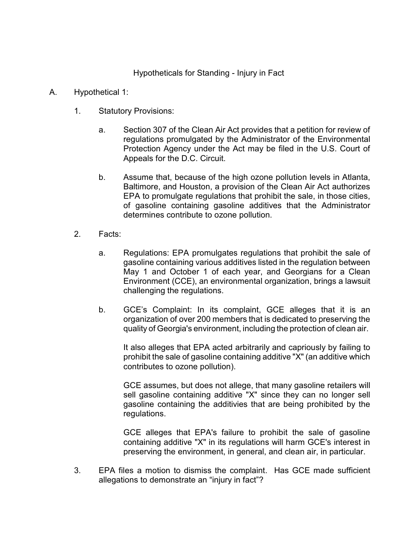Hypotheticals for Standing - Injury in Fact

- A. Hypothetical 1:
	- 1. Statutory Provisions:
		- a. Section 307 of the Clean Air Act provides that a petition for review of regulations promulgated by the Administrator of the Environmental Protection Agency under the Act may be filed in the U.S. Court of Appeals for the D.C. Circuit.
		- b. Assume that, because of the high ozone pollution levels in Atlanta, Baltimore, and Houston, a provision of the Clean Air Act authorizes EPA to promulgate regulations that prohibit the sale, in those cities, of gasoline containing gasoline additives that the Administrator determines contribute to ozone pollution.
	- 2. Facts:
		- a. Regulations: EPA promulgates regulations that prohibit the sale of gasoline containing various additives listed in the regulation between May 1 and October 1 of each year, and Georgians for a Clean Environment (CCE), an environmental organization, brings a lawsuit challenging the regulations.
		- b. GCE's Complaint: In its complaint, GCE alleges that it is an organization of over 200 members that is dedicated to preserving the quality of Georgia's environment, including the protection of clean air.

It also alleges that EPA acted arbitrarily and capriously by failing to prohibit the sale of gasoline containing additive "X" (an additive which contributes to ozone pollution).

GCE assumes, but does not allege, that many gasoline retailers will sell gasoline containing additive "X" since they can no longer sell gasoline containing the additivies that are being prohibited by the regulations.

GCE alleges that EPA's failure to prohibit the sale of gasoline containing additive "X" in its regulations will harm GCE's interest in preserving the environment, in general, and clean air, in particular.

3. EPA files a motion to dismiss the complaint. Has GCE made sufficient allegations to demonstrate an "injury in fact"?